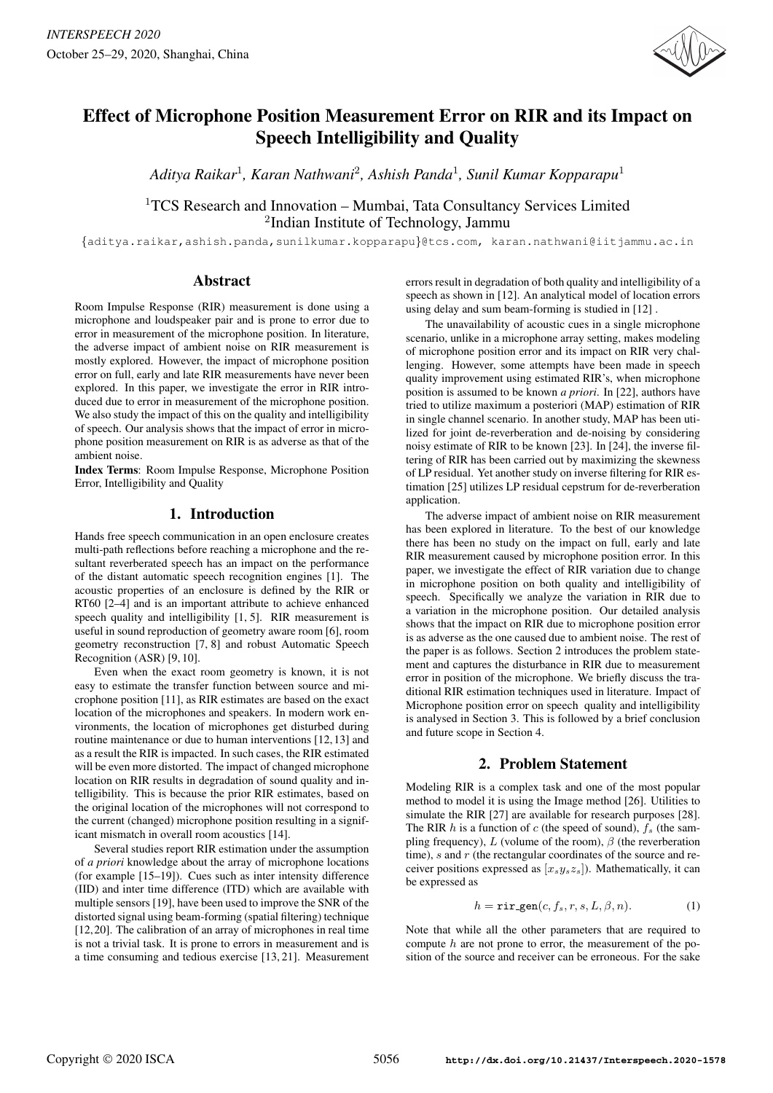

# Effect of Microphone Position Measurement Error on RIR and its Impact on Speech Intelligibility and Quality

*Aditya Raikar*<sup>1</sup> *, Karan Nathwani*<sup>2</sup> *, Ashish Panda*<sup>1</sup> *, Sunil Kumar Kopparapu*<sup>1</sup>

 $1TCS$  Research and Innovation – Mumbai, Tata Consultancy Services Limited 2 Indian Institute of Technology, Jammu

{aditya.raikar,ashish.panda,sunilkumar.kopparapu}@tcs.com, karan.nathwani@iitjammu.ac.in

# Abstract

Room Impulse Response (RIR) measurement is done using a microphone and loudspeaker pair and is prone to error due to error in measurement of the microphone position. In literature, the adverse impact of ambient noise on RIR measurement is mostly explored. However, the impact of microphone position error on full, early and late RIR measurements have never been explored. In this paper, we investigate the error in RIR introduced due to error in measurement of the microphone position. We also study the impact of this on the quality and intelligibility of speech. Our analysis shows that the impact of error in microphone position measurement on RIR is as adverse as that of the ambient noise.

Index Terms: Room Impulse Response, Microphone Position Error, Intelligibility and Quality

# 1. Introduction

Hands free speech communication in an open enclosure creates multi-path reflections before reaching a microphone and the resultant reverberated speech has an impact on the performance of the distant automatic speech recognition engines [1]. The acoustic properties of an enclosure is defined by the RIR or RT60 [2–4] and is an important attribute to achieve enhanced speech quality and intelligibility [1, 5]. RIR measurement is useful in sound reproduction of geometry aware room [6], room geometry reconstruction [7, 8] and robust Automatic Speech Recognition (ASR) [9, 10].

Even when the exact room geometry is known, it is not easy to estimate the transfer function between source and microphone position [11], as RIR estimates are based on the exact location of the microphones and speakers. In modern work environments, the location of microphones get disturbed during routine maintenance or due to human interventions [12, 13] and as a result the RIR is impacted. In such cases, the RIR estimated will be even more distorted. The impact of changed microphone location on RIR results in degradation of sound quality and intelligibility. This is because the prior RIR estimates, based on the original location of the microphones will not correspond to the current (changed) microphone position resulting in a significant mismatch in overall room acoustics [14].

Several studies report RIR estimation under the assumption of *a priori* knowledge about the array of microphone locations (for example [15–19]). Cues such as inter intensity difference (IID) and inter time difference (ITD) which are available with multiple sensors [19], have been used to improve the SNR of the distorted signal using beam-forming (spatial filtering) technique [12,20]. The calibration of an array of microphones in real time is not a trivial task. It is prone to errors in measurement and is a time consuming and tedious exercise [13, 21]. Measurement errors result in degradation of both quality and intelligibility of a speech as shown in [12]. An analytical model of location errors using delay and sum beam-forming is studied in [12] .

The unavailability of acoustic cues in a single microphone scenario, unlike in a microphone array setting, makes modeling of microphone position error and its impact on RIR very challenging. However, some attempts have been made in speech quality improvement using estimated RIR's, when microphone position is assumed to be known *a priori*. In [22], authors have tried to utilize maximum a posteriori (MAP) estimation of RIR in single channel scenario. In another study, MAP has been utilized for joint de-reverberation and de-noising by considering noisy estimate of RIR to be known [23]. In [24], the inverse filtering of RIR has been carried out by maximizing the skewness of LP residual. Yet another study on inverse filtering for RIR estimation [25] utilizes LP residual cepstrum for de-reverberation application.

The adverse impact of ambient noise on RIR measurement has been explored in literature. To the best of our knowledge there has been no study on the impact on full, early and late RIR measurement caused by microphone position error. In this paper, we investigate the effect of RIR variation due to change in microphone position on both quality and intelligibility of speech. Specifically we analyze the variation in RIR due to a variation in the microphone position. Our detailed analysis shows that the impact on RIR due to microphone position error is as adverse as the one caused due to ambient noise. The rest of the paper is as follows. Section 2 introduces the problem statement and captures the disturbance in RIR due to measurement error in position of the microphone. We briefly discuss the traditional RIR estimation techniques used in literature. Impact of Microphone position error on speech quality and intelligibility is analysed in Section 3. This is followed by a brief conclusion and future scope in Section 4.

# 2. Problem Statement

Modeling RIR is a complex task and one of the most popular method to model it is using the Image method [26]. Utilities to simulate the RIR [27] are available for research purposes [28]. The RIR h is a function of c (the speed of sound),  $f_s$  (the sampling frequency), L (volume of the room),  $\beta$  (the reverberation time),  $s$  and  $r$  (the rectangular coordinates of the source and receiver positions expressed as  $[x_s y_s z_s]$ ). Mathematically, it can be expressed as

$$
h = \text{rir\_gen}(c, f_s, r, s, L, \beta, n). \tag{1}
$$

Note that while all the other parameters that are required to compute  $h$  are not prone to error, the measurement of the position of the source and receiver can be erroneous. For the sake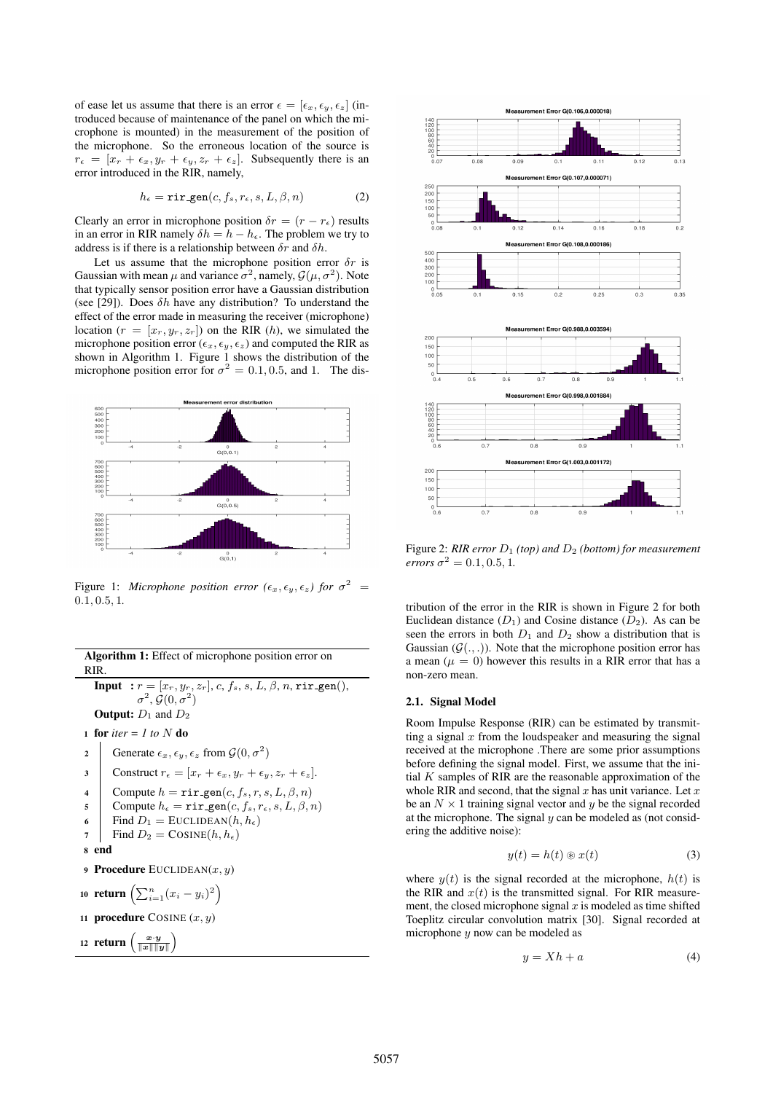of ease let us assume that there is an error  $\epsilon = [\epsilon_x, \epsilon_y, \epsilon_z]$  (introduced because of maintenance of the panel on which the microphone is mounted) in the measurement of the position of the microphone. So the erroneous location of the source is  $r_{\epsilon} = [x_r + \epsilon_x, y_r + \epsilon_y, z_r + \epsilon_z].$  Subsequently there is an error introduced in the RIR, namely,

$$
h_{\epsilon} = \text{rir\_gen}(c, f_s, r_{\epsilon}, s, L, \beta, n) \tag{2}
$$

Clearly an error in microphone position  $\delta r = (r - r_{\epsilon})$  results in an error in RIR namely  $\delta h = h - h_{\epsilon}$ . The problem we try to address is if there is a relationship between  $\delta r$  and  $\delta h$ .

Let us assume that the microphone position error  $\delta r$  is Gaussian with mean  $\mu$  and variance  $\sigma^2$ , namely,  $\mathcal{G}(\mu, \sigma^2)$ . Note that typically sensor position error have a Gaussian distribution (see [29]). Does  $\delta h$  have any distribution? To understand the effect of the error made in measuring the receiver (microphone) location  $(r = [x_r, y_r, z_r])$  on the RIR  $(h)$ , we simulated the microphone position error ( $\epsilon_x$ ,  $\epsilon_y$ ,  $\epsilon_z$ ) and computed the RIR as shown in Algorithm 1. Figure 1 shows the distribution of the microphone position error for  $\sigma^2 = 0.1, 0.5$ , and 1. The dis-



Figure 1: *Microphone position error* ( $\epsilon_x$ ,  $\epsilon_y$ ,  $\epsilon_z$ ) for  $\sigma^2$  = 0.1, 0.5, 1*.*

| Algorithm 1: Effect of microphone position error on<br>RIR.                                                                                                 |                                                                                                                                                                                                                                       |  |  |  |  |  |  |
|-------------------------------------------------------------------------------------------------------------------------------------------------------------|---------------------------------------------------------------------------------------------------------------------------------------------------------------------------------------------------------------------------------------|--|--|--|--|--|--|
| <b>Input</b> : $r = [x_r, y_r, z_r], c, f_s, s, L, \beta, n, \text{rir-gen}(),$<br>$\sigma^2$ , $\mathcal{G}(0,\sigma^2)$<br><b>Output:</b> $D_1$ and $D_2$ |                                                                                                                                                                                                                                       |  |  |  |  |  |  |
| 1 for <i>iter</i> = 1 to N do                                                                                                                               |                                                                                                                                                                                                                                       |  |  |  |  |  |  |
| $\overline{c}$                                                                                                                                              | Generate $\epsilon_x, \epsilon_y, \epsilon_z$ from $\mathcal{G}(0, \sigma^2)$                                                                                                                                                         |  |  |  |  |  |  |
| 3                                                                                                                                                           | Construct $r_{\epsilon} = [x_r + \epsilon_x, y_r + \epsilon_y, z_r + \epsilon_z].$                                                                                                                                                    |  |  |  |  |  |  |
| $\overline{\mathbf{4}}$<br>5<br>6<br>7                                                                                                                      | Compute $h = \text{rir\_gen}(c, f_s, r, s, L, \beta, n)$<br>Compute $h_{\epsilon} = \text{rir\_gen}(c, f_s, r_{\epsilon}, s, L, \beta, n)$<br>Find $D_1 =$ EUCLIDEAN $(h, h_{\epsilon})$<br>Find $D_2 = \text{CosINE}(h, h_\epsilon)$ |  |  |  |  |  |  |
| end<br>8                                                                                                                                                    |                                                                                                                                                                                                                                       |  |  |  |  |  |  |
| <b>9 Procedure</b> EUCLIDEAN $(x, y)$                                                                                                                       |                                                                                                                                                                                                                                       |  |  |  |  |  |  |
| 10 return $\left(\sum_{i=1}^n (x_i - y_i)^2\right)$                                                                                                         |                                                                                                                                                                                                                                       |  |  |  |  |  |  |
| 11 <b>procedure</b> COSINE $(x, y)$                                                                                                                         |                                                                                                                                                                                                                                       |  |  |  |  |  |  |
| 12 return $\left(\frac{x \cdot y}{\ x\  \ y\ }\right)$                                                                                                      |                                                                                                                                                                                                                                       |  |  |  |  |  |  |
|                                                                                                                                                             |                                                                                                                                                                                                                                       |  |  |  |  |  |  |



Figure 2: *RIR error*  $D_1$  *(top) and*  $D_2$  *(bottom) for measurement errors*  $\sigma^2 = 0.1, 0.5, 1$ .

tribution of the error in the RIR is shown in Figure 2 for both Euclidean distance  $(D_1)$  and Cosine distance  $(D_2)$ . As can be seen the errors in both  $D_1$  and  $D_2$  show a distribution that is Gaussian  $(\mathcal{G}(\cdot, .))$ . Note that the microphone position error has a mean ( $\mu = 0$ ) however this results in a RIR error that has a non-zero mean.

### 2.1. Signal Model

Room Impulse Response (RIR) can be estimated by transmitting a signal  $x$  from the loudspeaker and measuring the signal received at the microphone .There are some prior assumptions before defining the signal model. First, we assume that the initial  $K$  samples of RIR are the reasonable approximation of the whole RIR and second, that the signal x has unit variance. Let x be an  $N \times 1$  training signal vector and y be the signal recorded at the microphone. The signal  $y$  can be modeled as (not considering the additive noise):

$$
y(t) = h(t) \circledast x(t) \tag{3}
$$

where  $y(t)$  is the signal recorded at the microphone,  $h(t)$  is the RIR and  $x(t)$  is the transmitted signal. For RIR measurement, the closed microphone signal  $x$  is modeled as time shifted Toeplitz circular convolution matrix [30]. Signal recorded at microphone y now can be modeled as

$$
y = Xh + a \tag{4}
$$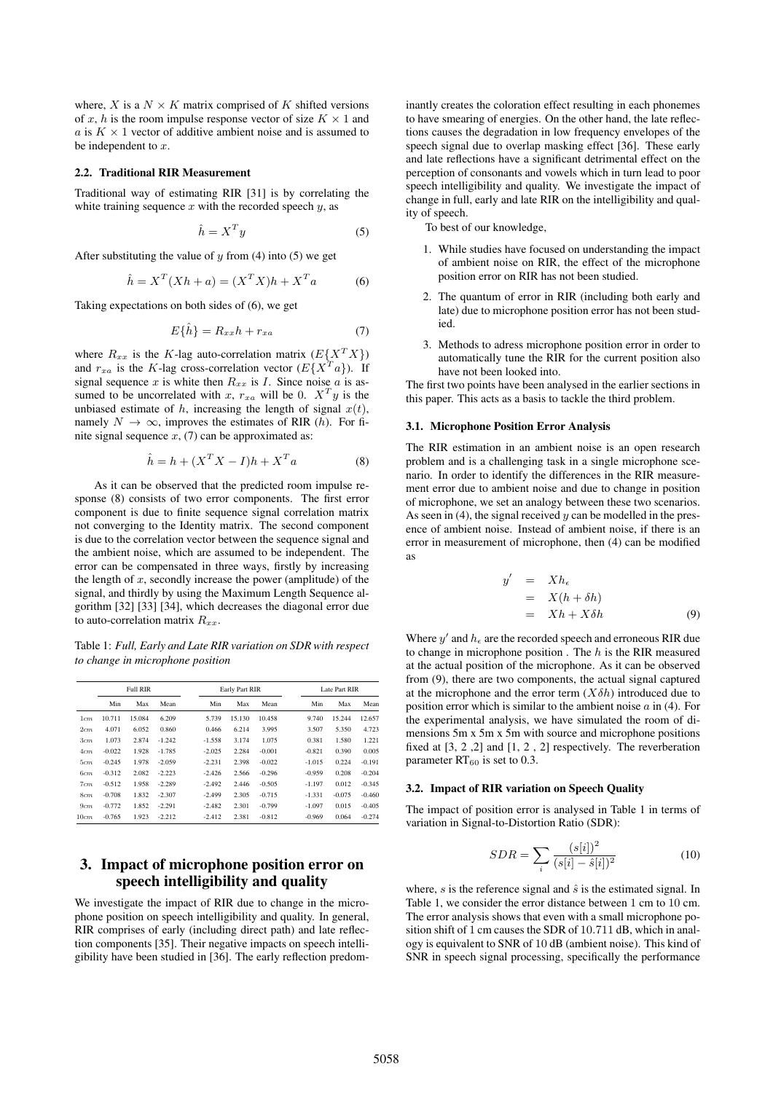where, X is a  $N \times K$  matrix comprised of K shifted versions of x, h is the room impulse response vector of size  $K \times 1$  and a is  $K \times 1$  vector of additive ambient noise and is assumed to be independent to  $x$ .

### 2.2. Traditional RIR Measurement

Traditional way of estimating RIR [31] is by correlating the white training sequence  $x$  with the recorded speech  $y$ , as

$$
\hat{h} = X^T y \tag{5}
$$

After substituting the value of  $y$  from (4) into (5) we get

$$
\hat{h} = X^T (Xh + a) = (X^T X)h + X^T a \tag{6}
$$

Taking expectations on both sides of (6), we get

$$
E\{\hat{h}\} = R_{xx}h + r_{xa} \tag{7}
$$

where  $R_{xx}$  is the K-lag auto-correlation matrix  $(E{X^T X})$ and  $r_{xa}$  is the K-lag cross-correlation vector  $(E{X^T}a)$ ). If signal sequence x is white then  $R_{xx}$  is I. Since noise a is assumed to be uncorrelated with x,  $r_{xa}$  will be 0.  $X^T y$  is the unbiased estimate of  $h$ , increasing the length of signal  $x(t)$ , namely  $N \to \infty$ , improves the estimates of RIR (h). For finite signal sequence  $x$ , (7) can be approximated as:

$$
\hat{h} = h + (X^T X - I)h + X^T a \tag{8}
$$

As it can be observed that the predicted room impulse response (8) consists of two error components. The first error component is due to finite sequence signal correlation matrix not converging to the Identity matrix. The second component is due to the correlation vector between the sequence signal and the ambient noise, which are assumed to be independent. The error can be compensated in three ways, firstly by increasing the length of  $x$ , secondly increase the power (amplitude) of the signal, and thirdly by using the Maximum Length Sequence algorithm [32] [33] [34], which decreases the diagonal error due to auto-correlation matrix  $R_{xx}$ .

Table 1: *Full, Early and Late RIR variation on SDR with respect to change in microphone position*

|      | <b>Full RIR</b> |        |          |          | Early Part RIR |          |          | Late Part RIR |          |  |
|------|-----------------|--------|----------|----------|----------------|----------|----------|---------------|----------|--|
|      | Min             | Max    | Mean     | Min      | Max            | Mean     | Min      | Max           | Mean     |  |
| 1cm  | 10.711          | 15.084 | 6.209    | 5.739    | 15.130         | 10.458   | 9.740    | 15.244        | 12.657   |  |
| 2cm  | 4.071           | 6.052  | 0.860    | 0.466    | 6.214          | 3.995    | 3.507    | 5.350         | 4.723    |  |
| 3cm  | 1.073           | 2.874  | $-1.242$ | $-1.558$ | 3.174          | 1.075    | 0.381    | 1.580         | 1.221    |  |
| 4cm  | $-0.022$        | 1.928  | $-1.785$ | $-2.025$ | 2.284          | $-0.001$ | $-0.821$ | 0.390         | 0.005    |  |
| 5cm  | $-0.245$        | 1.978  | $-2.059$ | $-2.231$ | 2.398          | $-0.022$ | $-1.015$ | 0.224         | $-0.191$ |  |
| 6cm  | $-0.312$        | 2.082  | $-2.223$ | $-2.426$ | 2.566          | $-0.296$ | $-0.959$ | 0.208         | $-0.204$ |  |
| 7cm  | $-0.512$        | 1.958  | $-2.289$ | $-2.492$ | 2.446          | $-0.505$ | $-1.197$ | 0.012         | $-0.345$ |  |
| 8cm  | $-0.708$        | 1.832  | $-2.307$ | $-2.499$ | 2.305          | $-0.715$ | $-1.331$ | $-0.075$      | $-0.460$ |  |
| 9cm  | $-0.772$        | 1.852  | $-2.291$ | $-2.482$ | 2.301          | $-0.799$ | $-1.097$ | 0.015         | $-0.405$ |  |
| 10cm | $-0.765$        | 1.923  | $-2.212$ | $-2.412$ | 2.381          | $-0.812$ | $-0.969$ | 0.064         | $-0.274$ |  |

# 3. Impact of microphone position error on speech intelligibility and quality

We investigate the impact of RIR due to change in the microphone position on speech intelligibility and quality. In general, RIR comprises of early (including direct path) and late reflection components [35]. Their negative impacts on speech intelligibility have been studied in [36]. The early reflection predominantly creates the coloration effect resulting in each phonemes to have smearing of energies. On the other hand, the late reflections causes the degradation in low frequency envelopes of the speech signal due to overlap masking effect [36]. These early and late reflections have a significant detrimental effect on the perception of consonants and vowels which in turn lead to poor speech intelligibility and quality. We investigate the impact of change in full, early and late RIR on the intelligibility and quality of speech.

To best of our knowledge,

- 1. While studies have focused on understanding the impact of ambient noise on RIR, the effect of the microphone position error on RIR has not been studied.
- 2. The quantum of error in RIR (including both early and late) due to microphone position error has not been studied.
- 3. Methods to adress microphone position error in order to automatically tune the RIR for the current position also have not been looked into.

The first two points have been analysed in the earlier sections in this paper. This acts as a basis to tackle the third problem.

### 3.1. Microphone Position Error Analysis

The RIR estimation in an ambient noise is an open research problem and is a challenging task in a single microphone scenario. In order to identify the differences in the RIR measurement error due to ambient noise and due to change in position of microphone, we set an analogy between these two scenarios. As seen in  $(4)$ , the signal received y can be modelled in the presence of ambient noise. Instead of ambient noise, if there is an error in measurement of microphone, then (4) can be modified as

$$
y' = Xh_{\epsilon}
$$
  
=  $X(h + \delta h)$   
=  $Xh + X\delta h$  (9)

Where  $y'$  and  $h_{\epsilon}$  are the recorded speech and erroneous RIR due to change in microphone position. The  $h$  is the RIR measured at the actual position of the microphone. As it can be observed from (9), there are two components, the actual signal captured at the microphone and the error term  $(X\delta h)$  introduced due to position error which is similar to the ambient noise  $a$  in (4). For the experimental analysis, we have simulated the room of dimensions 5m x 5m x 5m with source and microphone positions fixed at [3, 2 ,2] and [1, 2 , 2] respectively. The reverberation parameter  $RT_{60}$  is set to 0.3.

#### 3.2. Impact of RIR variation on Speech Quality

The impact of position error is analysed in Table 1 in terms of variation in Signal-to-Distortion Ratio (SDR):

$$
SDR = \sum_{i} \frac{(s[i])^2}{(s[i] - \hat{s}[i])^2}
$$
(10)

where, s is the reference signal and  $\hat{s}$  is the estimated signal. In Table 1, we consider the error distance between 1 cm to 10 cm. The error analysis shows that even with a small microphone position shift of 1 cm causes the SDR of 10.711 dB, which in analogy is equivalent to SNR of 10 dB (ambient noise). This kind of SNR in speech signal processing, specifically the performance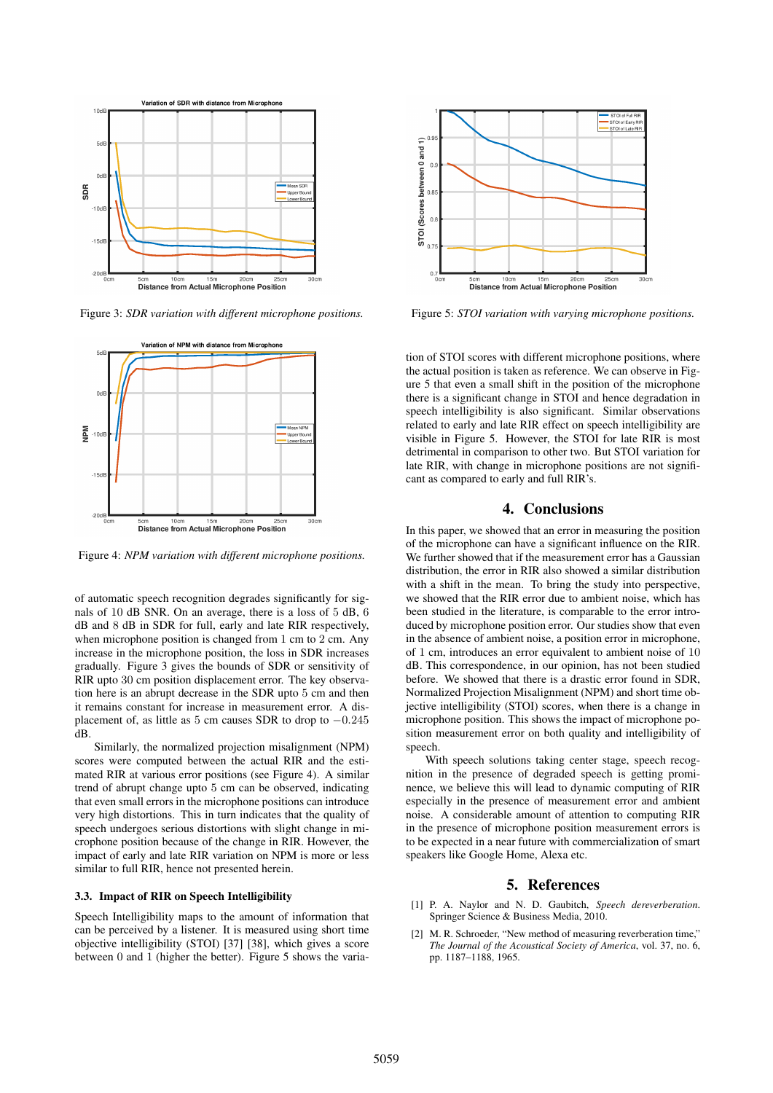

Figure 3: *SDR variation with different microphone positions.*



Figure 4: *NPM variation with different microphone positions.*

of automatic speech recognition degrades significantly for signals of 10 dB SNR. On an average, there is a loss of 5 dB, 6 dB and 8 dB in SDR for full, early and late RIR respectively, when microphone position is changed from 1 cm to 2 cm. Any increase in the microphone position, the loss in SDR increases gradually. Figure 3 gives the bounds of SDR or sensitivity of RIR upto 30 cm position displacement error. The key observation here is an abrupt decrease in the SDR upto 5 cm and then it remains constant for increase in measurement error. A displacement of, as little as 5 cm causes SDR to drop to  $-0.245$ dB.

Similarly, the normalized projection misalignment (NPM) scores were computed between the actual RIR and the estimated RIR at various error positions (see Figure 4). A similar trend of abrupt change upto 5 cm can be observed, indicating that even small errors in the microphone positions can introduce very high distortions. This in turn indicates that the quality of speech undergoes serious distortions with slight change in microphone position because of the change in RIR. However, the impact of early and late RIR variation on NPM is more or less similar to full RIR, hence not presented herein.

### 3.3. Impact of RIR on Speech Intelligibility

Speech Intelligibility maps to the amount of information that can be perceived by a listener. It is measured using short time objective intelligibility (STOI) [37] [38], which gives a score between 0 and 1 (higher the better). Figure 5 shows the varia-



Figure 5: *STOI variation with varying microphone positions.*

tion of STOI scores with different microphone positions, where the actual position is taken as reference. We can observe in Figure 5 that even a small shift in the position of the microphone there is a significant change in STOI and hence degradation in speech intelligibility is also significant. Similar observations related to early and late RIR effect on speech intelligibility are visible in Figure 5. However, the STOI for late RIR is most detrimental in comparison to other two. But STOI variation for late RIR, with change in microphone positions are not significant as compared to early and full RIR's.

### 4. Conclusions

In this paper, we showed that an error in measuring the position of the microphone can have a significant influence on the RIR. We further showed that if the measurement error has a Gaussian distribution, the error in RIR also showed a similar distribution with a shift in the mean. To bring the study into perspective, we showed that the RIR error due to ambient noise, which has been studied in the literature, is comparable to the error introduced by microphone position error. Our studies show that even in the absence of ambient noise, a position error in microphone, of 1 cm, introduces an error equivalent to ambient noise of 10 dB. This correspondence, in our opinion, has not been studied before. We showed that there is a drastic error found in SDR, Normalized Projection Misalignment (NPM) and short time objective intelligibility (STOI) scores, when there is a change in microphone position. This shows the impact of microphone position measurement error on both quality and intelligibility of speech.

With speech solutions taking center stage, speech recognition in the presence of degraded speech is getting prominence, we believe this will lead to dynamic computing of RIR especially in the presence of measurement error and ambient noise. A considerable amount of attention to computing RIR in the presence of microphone position measurement errors is to be expected in a near future with commercialization of smart speakers like Google Home, Alexa etc.

### 5. References

- [1] P. A. Naylor and N. D. Gaubitch, *Speech dereverberation*. Springer Science & Business Media, 2010.
- [2] M. R. Schroeder, "New method of measuring reverberation time," *The Journal of the Acoustical Society of America*, vol. 37, no. 6, pp. 1187–1188, 1965.